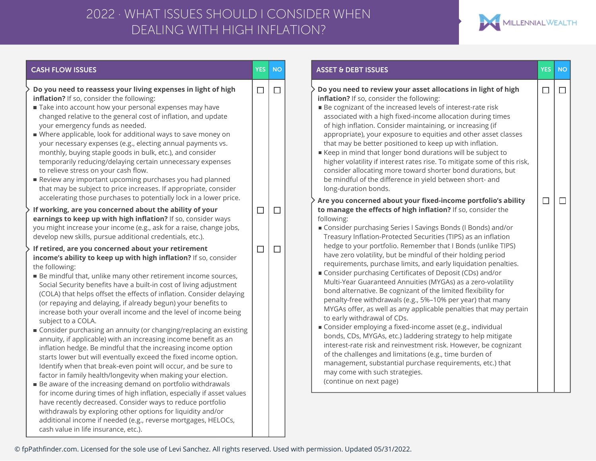## DEALING WITH HIGH INFLATION? 2022 · WHAT ISSUES SHOULD I CONSIDER WHEN



© fpPathfinder.com. Licensed for the sole use of Levi Sanchez. All rights reserved. Used with permission. Updated 05/31/2022.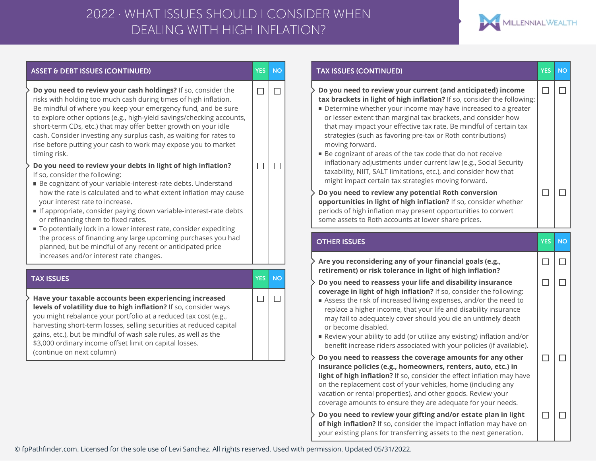## DEALING WITH HIGH INFLATION? 2022 · WHAT ISSUES SHOULD I CONSIDER WHEN



| <b>ASSET &amp; DEBT ISSUES (CONTINUED)</b>                                                                                                                                                                                                                                                                                                                                                                                                                                                                                                                                                                                                                                                                                                                                                                                                                                                      | <b>YES</b>       | <b>NO</b> | <b>TAX ISSUES (CONTINUED)</b>                                                                                                                                                                                                                                                                                                                                                                                                                                                                                                                                                                                                                                                                                                                                                                                                                                                                                                                        | <b>YES</b>       |
|-------------------------------------------------------------------------------------------------------------------------------------------------------------------------------------------------------------------------------------------------------------------------------------------------------------------------------------------------------------------------------------------------------------------------------------------------------------------------------------------------------------------------------------------------------------------------------------------------------------------------------------------------------------------------------------------------------------------------------------------------------------------------------------------------------------------------------------------------------------------------------------------------|------------------|-----------|------------------------------------------------------------------------------------------------------------------------------------------------------------------------------------------------------------------------------------------------------------------------------------------------------------------------------------------------------------------------------------------------------------------------------------------------------------------------------------------------------------------------------------------------------------------------------------------------------------------------------------------------------------------------------------------------------------------------------------------------------------------------------------------------------------------------------------------------------------------------------------------------------------------------------------------------------|------------------|
| Do you need to review your cash holdings? If so, consider the<br>risks with holding too much cash during times of high inflation.<br>Be mindful of where you keep your emergency fund, and be sure<br>to explore other options (e.g., high-yield savings/checking accounts,<br>short-term CDs, etc.) that may offer better growth on your idle<br>cash. Consider investing any surplus cash, as waiting for rates to<br>rise before putting your cash to work may expose you to market<br>timing risk.<br>Do you need to review your debts in light of high inflation?<br>If so, consider the following:<br>■ Be cognizant of your variable-interest-rate debts. Understand<br>how the rate is calculated and to what extent inflation may cause<br>your interest rate to increase.<br>If appropriate, consider paying down variable-interest-rate debts<br>or refinancing them to fixed rates. | $\Box$<br>$\Box$ | □<br>□    | Do you need to review your current (and anticipated) income<br>tax brackets in light of high inflation? If so, consider the following:<br>Determine whether your income may have increased to a greater<br>or lesser extent than marginal tax brackets, and consider how<br>that may impact your effective tax rate. Be mindful of certain tax<br>strategies (such as favoring pre-tax or Roth contributions)<br>moving forward.<br>■ Be cognizant of areas of the tax code that do not receive<br>inflationary adjustments under current law (e.g., Social Security<br>taxability, NIIT, SALT limitations, etc.), and consider how that<br>might impact certain tax strategies moving forward.<br>Do you need to review any potential Roth conversion<br>opportunities in light of high inflation? If so, consider whether<br>periods of high inflation may present opportunities to convert<br>some assets to Roth accounts at lower share prices. | $\Box$<br>$\Box$ |
| To potentially lock in a lower interest rate, consider expediting<br>the process of financing any large upcoming purchases you had                                                                                                                                                                                                                                                                                                                                                                                                                                                                                                                                                                                                                                                                                                                                                              |                  |           | <b>OTHER ISSUES</b>                                                                                                                                                                                                                                                                                                                                                                                                                                                                                                                                                                                                                                                                                                                                                                                                                                                                                                                                  | <b>YES</b>       |
| planned, but be mindful of any recent or anticipated price<br>increases and/or interest rate changes.                                                                                                                                                                                                                                                                                                                                                                                                                                                                                                                                                                                                                                                                                                                                                                                           |                  |           | Are you reconsidering any of your financial goals (e.g.,<br>retirement) or risk tolerance in light of high inflation?                                                                                                                                                                                                                                                                                                                                                                                                                                                                                                                                                                                                                                                                                                                                                                                                                                | □                |
| <b>TAX ISSUES</b>                                                                                                                                                                                                                                                                                                                                                                                                                                                                                                                                                                                                                                                                                                                                                                                                                                                                               | <b>YES</b>       | <b>NO</b> | Do you need to reassess your life and disability insurance                                                                                                                                                                                                                                                                                                                                                                                                                                                                                                                                                                                                                                                                                                                                                                                                                                                                                           | $\Box$           |
| Have your taxable accounts been experiencing increased<br>levels of volatility due to high inflation? If so, consider ways<br>you might rebalance your portfolio at a reduced tax cost (e.g.,<br>harvesting short-term losses, selling securities at reduced capital<br>gains, etc.), but be mindful of wash sale rules, as well as the<br>\$3,000 ordinary income offset limit on capital losses.<br>(continue on next column)                                                                                                                                                                                                                                                                                                                                                                                                                                                                 | $\Box$           | □         | coverage in light of high inflation? If so, consider the following:<br>Assess the risk of increased living expenses, and/or the need to<br>replace a higher income, that your life and disability insurance<br>may fail to adequately cover should you die an untimely death<br>or become disabled.<br>Review your ability to add (or utilize any existing) inflation and/or<br>benefit increase riders associated with your policies (if available).                                                                                                                                                                                                                                                                                                                                                                                                                                                                                                |                  |
|                                                                                                                                                                                                                                                                                                                                                                                                                                                                                                                                                                                                                                                                                                                                                                                                                                                                                                 |                  |           | Do you need to reassess the coverage amounts for any other<br>insurance policies (e.g., homeowners, renters, auto, etc.) in<br>light of high inflation? If so, consider the effect inflation may have<br>on the replacement cost of your vehicles, home (including any<br>vacation or rental properties), and other goods. Review your<br>coverage amounts to ensure they are adequate for your needs.                                                                                                                                                                                                                                                                                                                                                                                                                                                                                                                                               | $\Box$           |
|                                                                                                                                                                                                                                                                                                                                                                                                                                                                                                                                                                                                                                                                                                                                                                                                                                                                                                 |                  |           | Do you need to review your gifting and/or estate plan in light<br>of high inflation? If so, consider the impact inflation may have on                                                                                                                                                                                                                                                                                                                                                                                                                                                                                                                                                                                                                                                                                                                                                                                                                | $\Box$           |

© fpPathfinder.com. Licensed for the sole use of Levi Sanchez. All rights reserved. Used with permission. Updated 05/31/2022.